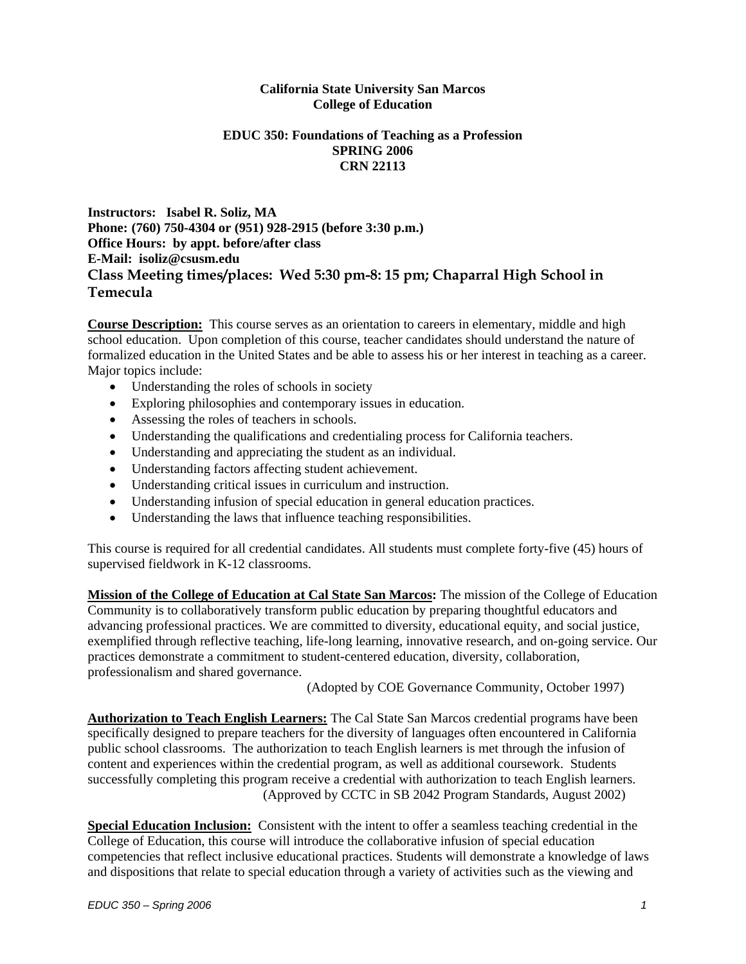#### **California State University San Marcos College of Education**

### **EDUC 350: Foundations of Teaching as a Profession SPRING 2006 CRN 22113**

**Instructors: Isabel R. Soliz, MA Phone: (760) 750-4304 or (951) 928-2915 (before 3:30 p.m.) Office Hours: by appt. before/after class E-Mail: isoliz@csusm.edu Class Meeting times/places: Wed 5:30 pm-8: 15 pm; Chaparral High School in Temecula**

**Course Description:** This course serves as an orientation to careers in elementary, middle and high school education. Upon completion of this course, teacher candidates should understand the nature of formalized education in the United States and be able to assess his or her interest in teaching as a career. Major topics include:

- Understanding the roles of schools in society
- Exploring philosophies and contemporary issues in education.
- Assessing the roles of teachers in schools.
- Understanding the qualifications and credentialing process for California teachers.
- Understanding and appreciating the student as an individual.
- Understanding factors affecting student achievement.
- Understanding critical issues in curriculum and instruction.
- Understanding infusion of special education in general education practices.
- Understanding the laws that influence teaching responsibilities.

This course is required for all credential candidates. All students must complete forty-five (45) hours of supervised fieldwork in K-12 classrooms.

**Mission of the College of Education at Cal State San Marcos:** The mission of the College of Education Community is to collaboratively transform public education by preparing thoughtful educators and advancing professional practices. We are committed to diversity, educational equity, and social justice, exemplified through reflective teaching, life-long learning, innovative research, and on-going service. Our practices demonstrate a commitment to student-centered education, diversity, collaboration, professionalism and shared governance.

(Adopted by COE Governance Community, October 1997)

**Authorization to Teach English Learners:** The Cal State San Marcos credential programs have been specifically designed to prepare teachers for the diversity of languages often encountered in California public school classrooms. The authorization to teach English learners is met through the infusion of content and experiences within the credential program, as well as additional coursework. Students successfully completing this program receive a credential with authorization to teach English learners. (Approved by CCTC in SB 2042 Program Standards, August 2002)

**Special Education Inclusion:** Consistent with the intent to offer a seamless teaching credential in the College of Education, this course will introduce the collaborative infusion of special education competencies that reflect inclusive educational practices. Students will demonstrate a knowledge of laws and dispositions that relate to special education through a variety of activities such as the viewing and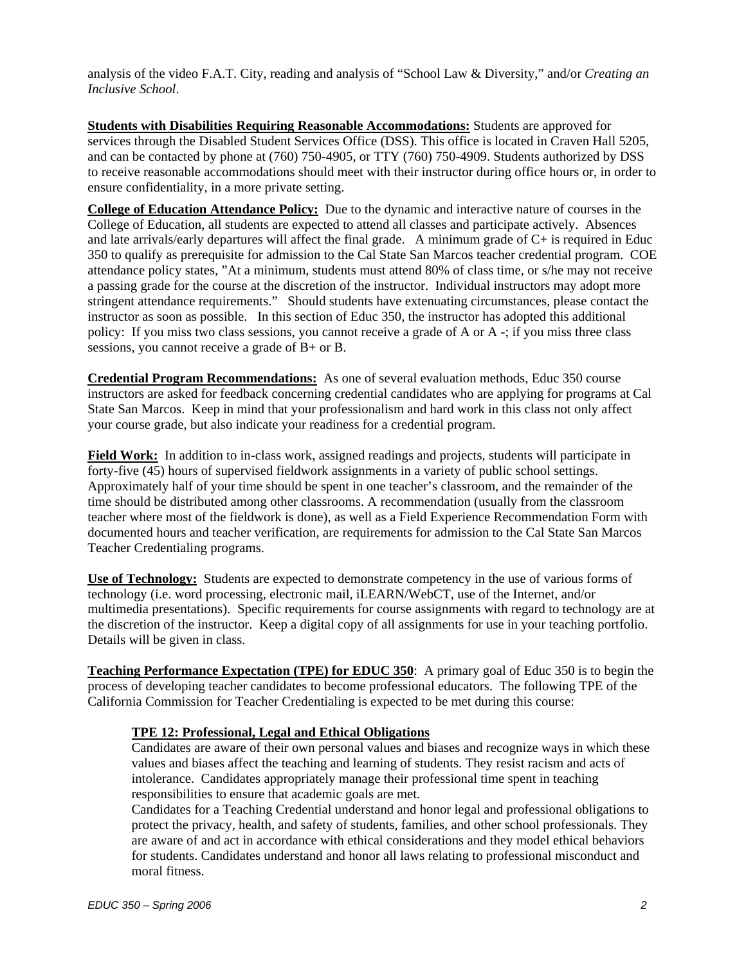analysis of the video F.A.T. City, reading and analysis of "School Law & Diversity," and/or *Creating an Inclusive School*.

**Students with Disabilities Requiring Reasonable Accommodations:** Students are approved for services through the Disabled Student Services Office (DSS). This office is located in Craven Hall 5205, and can be contacted by phone at (760) 750-4905, or TTY (760) 750-4909. Students authorized by DSS to receive reasonable accommodations should meet with their instructor during office hours or, in order to ensure confidentiality, in a more private setting.

**College of Education Attendance Policy:** Due to the dynamic and interactive nature of courses in the College of Education, all students are expected to attend all classes and participate actively. Absences and late arrivals/early departures will affect the final grade. A minimum grade of C+ is required in Educ 350 to qualify as prerequisite for admission to the Cal State San Marcos teacher credential program. COE attendance policy states, "At a minimum, students must attend 80% of class time, or s/he may not receive a passing grade for the course at the discretion of the instructor. Individual instructors may adopt more stringent attendance requirements." Should students have extenuating circumstances, please contact the instructor as soon as possible. In this section of Educ 350, the instructor has adopted this additional policy: If you miss two class sessions, you cannot receive a grade of A or A -; if you miss three class sessions, you cannot receive a grade of B+ or B.

**Credential Program Recommendations:** As one of several evaluation methods, Educ 350 course instructors are asked for feedback concerning credential candidates who are applying for programs at Cal State San Marcos. Keep in mind that your professionalism and hard work in this class not only affect your course grade, but also indicate your readiness for a credential program.

**Field Work:** In addition to in-class work, assigned readings and projects, students will participate in forty-five (45) hours of supervised fieldwork assignments in a variety of public school settings. Approximately half of your time should be spent in one teacher's classroom, and the remainder of the time should be distributed among other classrooms. A recommendation (usually from the classroom teacher where most of the fieldwork is done), as well as a Field Experience Recommendation Form with documented hours and teacher verification, are requirements for admission to the Cal State San Marcos Teacher Credentialing programs.

**Use of Technology:** Students are expected to demonstrate competency in the use of various forms of technology (i.e. word processing, electronic mail, iLEARN/WebCT, use of the Internet, and/or multimedia presentations). Specific requirements for course assignments with regard to technology are at the discretion of the instructor. Keep a digital copy of all assignments for use in your teaching portfolio. Details will be given in class.

**Teaching Performance Expectation (TPE) for EDUC 350**: A primary goal of Educ 350 is to begin the process of developing teacher candidates to become professional educators. The following TPE of the California Commission for Teacher Credentialing is expected to be met during this course:

#### **TPE 12: Professional, Legal and Ethical Obligations**

Candidates are aware of their own personal values and biases and recognize ways in which these values and biases affect the teaching and learning of students. They resist racism and acts of intolerance. Candidates appropriately manage their professional time spent in teaching responsibilities to ensure that academic goals are met.

Candidates for a Teaching Credential understand and honor legal and professional obligations to protect the privacy, health, and safety of students, families, and other school professionals. They are aware of and act in accordance with ethical considerations and they model ethical behaviors for students. Candidates understand and honor all laws relating to professional misconduct and moral fitness.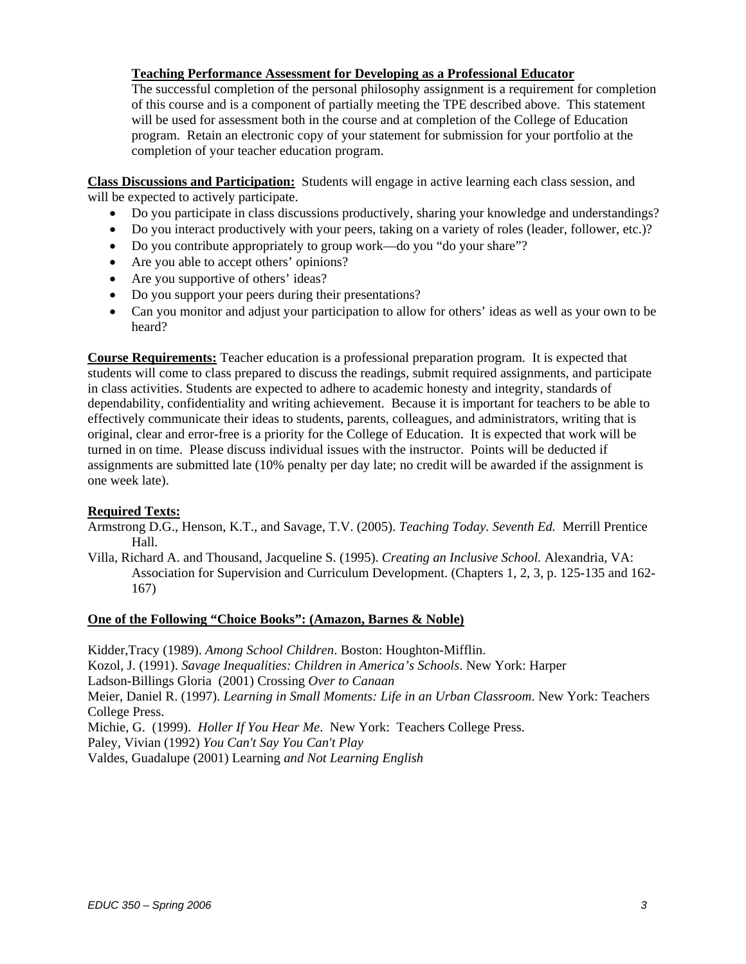#### **Teaching Performance Assessment for Developing as a Professional Educator**

The successful completion of the personal philosophy assignment is a requirement for completion of this course and is a component of partially meeting the TPE described above. This statement will be used for assessment both in the course and at completion of the College of Education program. Retain an electronic copy of your statement for submission for your portfolio at the completion of your teacher education program.

**Class Discussions and Participation:** Students will engage in active learning each class session, and will be expected to actively participate.

- Do you participate in class discussions productively, sharing your knowledge and understandings?
- Do you interact productively with your peers, taking on a variety of roles (leader, follower, etc.)?
- Do you contribute appropriately to group work—do you "do your share"?
- Are you able to accept others' opinions?
- Are you supportive of others' ideas?
- Do you support your peers during their presentations?
- Can you monitor and adjust your participation to allow for others' ideas as well as your own to be heard?

**Course Requirements:** Teacher education is a professional preparation program. It is expected that students will come to class prepared to discuss the readings, submit required assignments, and participate in class activities. Students are expected to adhere to academic honesty and integrity, standards of dependability, confidentiality and writing achievement. Because it is important for teachers to be able to effectively communicate their ideas to students, parents, colleagues, and administrators, writing that is original, clear and error-free is a priority for the College of Education. It is expected that work will be turned in on time. Please discuss individual issues with the instructor. Points will be deducted if assignments are submitted late (10% penalty per day late; no credit will be awarded if the assignment is one week late).

#### **Required Texts:**

Armstrong D.G., Henson, K.T., and Savage, T.V. (2005). *Teaching Today. Seventh Ed.* Merrill Prentice Hall.

Villa, Richard A. and Thousand, Jacqueline S. (1995). *Creating an Inclusive School.* Alexandria, VA: Association for Supervision and Curriculum Development. (Chapters 1, 2, 3, p. 125-135 and 162- 167)

#### **One of the Following "Choice Books": (Amazon, Barnes & Noble)**

Kidder,Tracy (1989). *Among School Children*. Boston: Houghton-Mifflin. Kozol, J. (1991). *Savage Inequalities: Children in America's Schools*. New York: Harper Ladson-Billings Gloria (2001) Crossing *Over to Canaan* Meier, Daniel R. (1997). *Learning in Small Moments: Life in an Urban Classroom*. New York: Teachers College Press. Michie, G. (1999). *Holler If You Hear Me*. New York: Teachers College Press. Paley, Vivian (1992) *You Can't Say You Can't Play* Valdes, Guadalupe (2001) Learning *and Not Learning English*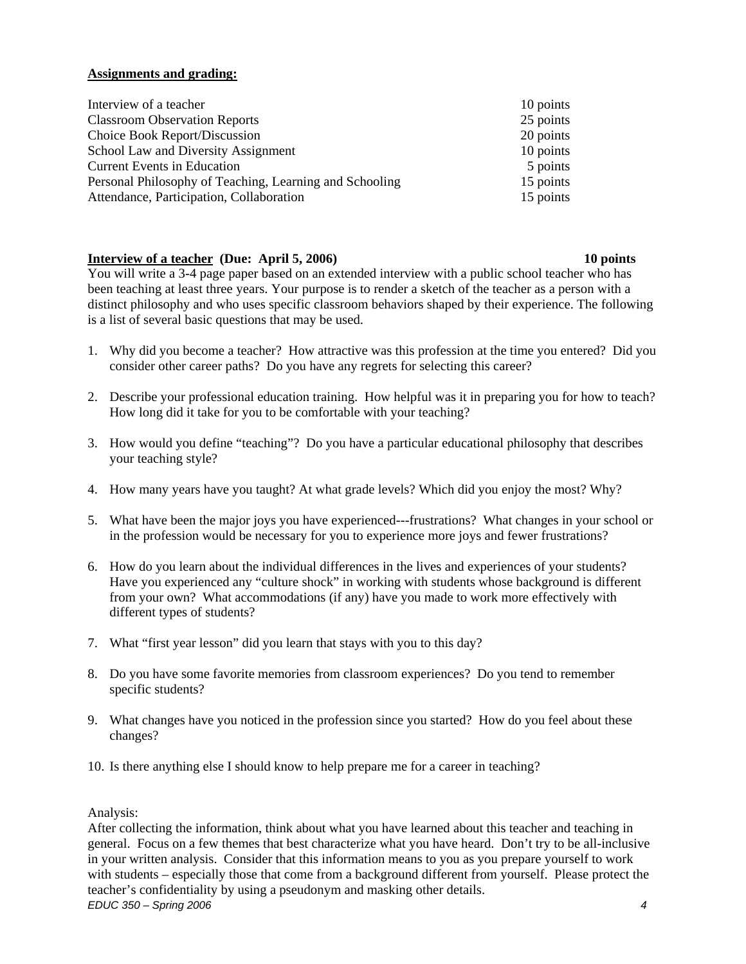### **Assignments and grading:**

| Interview of a teacher                                  | 10 points |
|---------------------------------------------------------|-----------|
| <b>Classroom Observation Reports</b>                    | 25 points |
| Choice Book Report/Discussion                           | 20 points |
| School Law and Diversity Assignment                     | 10 points |
| <b>Current Events in Education</b>                      | 5 points  |
| Personal Philosophy of Teaching, Learning and Schooling | 15 points |
| Attendance, Participation, Collaboration                | 15 points |

#### **Interview of a teacher (Due: April 5, 2006)** 10 points **10** points

You will write a 3-4 page paper based on an extended interview with a public school teacher who has been teaching at least three years. Your purpose is to render a sketch of the teacher as a person with a distinct philosophy and who uses specific classroom behaviors shaped by their experience. The following is a list of several basic questions that may be used.

- 1. Why did you become a teacher? How attractive was this profession at the time you entered? Did you consider other career paths? Do you have any regrets for selecting this career?
- 2. Describe your professional education training. How helpful was it in preparing you for how to teach? How long did it take for you to be comfortable with your teaching?
- 3. How would you define "teaching"? Do you have a particular educational philosophy that describes your teaching style?
- 4. How many years have you taught? At what grade levels? Which did you enjoy the most? Why?
- 5. What have been the major joys you have experienced---frustrations? What changes in your school or in the profession would be necessary for you to experience more joys and fewer frustrations?
- 6. How do you learn about the individual differences in the lives and experiences of your students? Have you experienced any "culture shock" in working with students whose background is different from your own? What accommodations (if any) have you made to work more effectively with different types of students?
- 7. What "first year lesson" did you learn that stays with you to this day?
- 8. Do you have some favorite memories from classroom experiences? Do you tend to remember specific students?
- 9. What changes have you noticed in the profession since you started? How do you feel about these changes?
- 10. Is there anything else I should know to help prepare me for a career in teaching?

#### Analysis:

*EDUC 350 – Spring 2006 4*  After collecting the information, think about what you have learned about this teacher and teaching in general. Focus on a few themes that best characterize what you have heard. Don't try to be all-inclusive in your written analysis. Consider that this information means to you as you prepare yourself to work with students – especially those that come from a background different from yourself. Please protect the teacher's confidentiality by using a pseudonym and masking other details.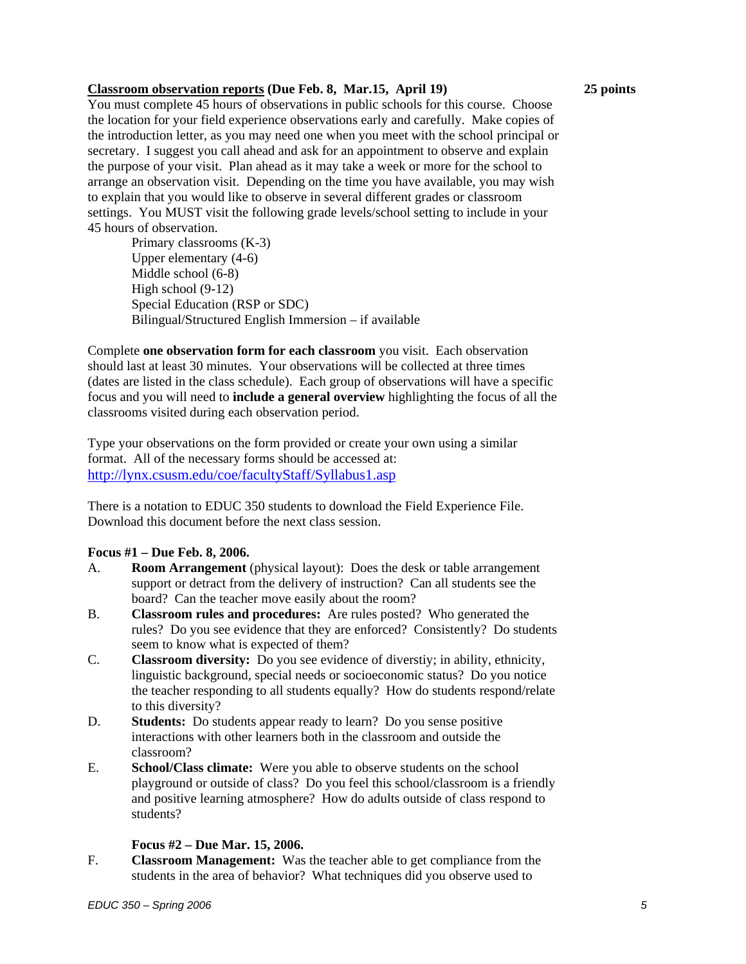#### **Classroom observation reports (Due Feb. 8, Mar.15, April 19) 25 points**

You must complete 45 hours of observations in public schools for this course. Choose the location for your field experience observations early and carefully. Make copies of the introduction letter, as you may need one when you meet with the school principal or secretary. I suggest you call ahead and ask for an appointment to observe and explain the purpose of your visit. Plan ahead as it may take a week or more for the school to arrange an observation visit. Depending on the time you have available, you may wish to explain that you would like to observe in several different grades or classroom settings. You MUST visit the following grade levels/school setting to include in your 45 hours of observation.

 Primary classrooms (K-3) Upper elementary (4-6) Middle school (6-8) High school (9-12) Special Education (RSP or SDC) Bilingual/Structured English Immersion – if available

Complete **one observation form for each classroom** you visit. Each observation should last at least 30 minutes. Your observations will be collected at three times (dates are listed in the class schedule). Each group of observations will have a specific focus and you will need to **include a general overview** highlighting the focus of all the classrooms visited during each observation period.

Type your observations on the form provided or create your own using a similar format. All of the necessary forms should be accessed at: http://lynx.csusm.edu/coe/facultyStaff/Syllabus1.asp

There is a notation to EDUC 350 students to download the Field Experience File. Download this document before the next class session.

#### **Focus #1 – Due Feb. 8, 2006.**

- A. **Room Arrangement** (physical layout): Does the desk or table arrangement support or detract from the delivery of instruction? Can all students see the board? Can the teacher move easily about the room?
- B. **Classroom rules and procedures:** Are rules posted? Who generated the rules? Do you see evidence that they are enforced? Consistently? Do students seem to know what is expected of them?
- C. **Classroom diversity:** Do you see evidence of diverstiy; in ability, ethnicity, linguistic background, special needs or socioeconomic status? Do you notice the teacher responding to all students equally? How do students respond/relate to this diversity?
- D. **Students:** Do students appear ready to learn? Do you sense positive interactions with other learners both in the classroom and outside the classroom?
- E. **School/Class climate:** Were you able to observe students on the school playground or outside of class? Do you feel this school/classroom is a friendly and positive learning atmosphere? How do adults outside of class respond to students?

#### **Focus #2 – Due Mar. 15, 2006.**

F. **Classroom Management:** Was the teacher able to get compliance from the students in the area of behavior? What techniques did you observe used to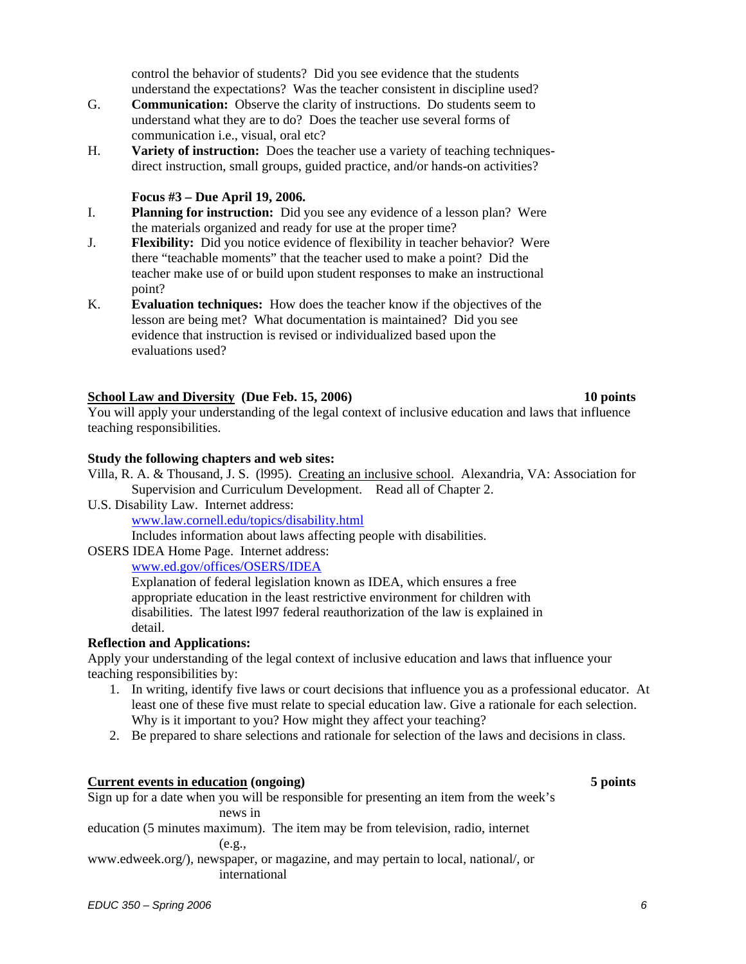control the behavior of students? Did you see evidence that the students understand the expectations? Was the teacher consistent in discipline used?

- G. **Communication:** Observe the clarity of instructions. Do students seem to understand what they are to do? Does the teacher use several forms of communication i.e., visual, oral etc?
- H. **Variety of instruction:** Does the teacher use a variety of teaching techniquesdirect instruction, small groups, guided practice, and/or hands-on activities?

#### **Focus #3 – Due April 19, 2006.**

- I. **Planning for instruction:** Did you see any evidence of a lesson plan? Were the materials organized and ready for use at the proper time?
- J. **Flexibility:** Did you notice evidence of flexibility in teacher behavior? Were there "teachable moments" that the teacher used to make a point? Did the teacher make use of or build upon student responses to make an instructional point?
- K. **Evaluation techniques:** How does the teacher know if the objectives of the lesson are being met? What documentation is maintained? Did you see evidence that instruction is revised or individualized based upon the evaluations used?

### School Law and Diversity (Due Feb. 15, 2006) 10 points **10** points

You will apply your understanding of the legal context of inclusive education and laws that influence teaching responsibilities.

#### **Study the following chapters and web sites:**

- Villa, R. A. & Thousand, J. S. (l995). Creating an inclusive school. Alexandria, VA: Association for Supervision and Curriculum Development. Read all of Chapter 2.
- U.S. Disability Law. Internet address:

www.law.cornell.edu/topics/disability.html

Includes information about laws affecting people with disabilities.

#### OSERS IDEA Home Page. Internet address:

www.ed.gov/offices/OSERS/IDEA

Explanation of federal legislation known as IDEA, which ensures a free appropriate education in the least restrictive environment for children with disabilities. The latest l997 federal reauthorization of the law is explained in detail.

#### **Reflection and Applications:**

Apply your understanding of the legal context of inclusive education and laws that influence your teaching responsibilities by:

- 1. In writing, identify five laws or court decisions that influence you as a professional educator. At least one of these five must relate to special education law. Give a rationale for each selection. Why is it important to you? How might they affect your teaching?
- 2. Be prepared to share selections and rationale for selection of the laws and decisions in class.

#### **Current events in education (ongoing) 5 points**

Sign up for a date when you will be responsible for presenting an item from the week's

news in

education (5 minutes maximum). The item may be from television, radio, internet (e.g.,

www.edweek.org/), newspaper, or magazine, and may pertain to local, national/, or international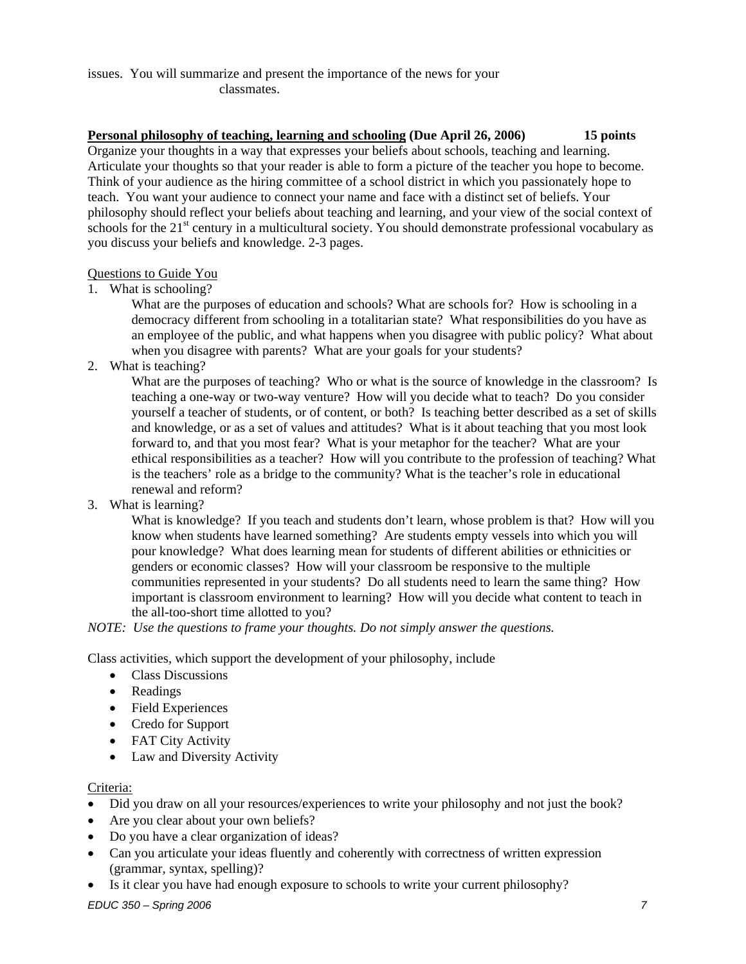#### issues. You will summarize and present the importance of the news for your classmates.

### **Personal philosophy of teaching, learning and schooling (Due April 26, 2006) 15 points**

Organize your thoughts in a way that expresses your beliefs about schools, teaching and learning. Articulate your thoughts so that your reader is able to form a picture of the teacher you hope to become. Think of your audience as the hiring committee of a school district in which you passionately hope to teach. You want your audience to connect your name and face with a distinct set of beliefs. Your philosophy should reflect your beliefs about teaching and learning, and your view of the social context of schools for the 21<sup>st</sup> century in a multicultural society. You should demonstrate professional vocabulary as you discuss your beliefs and knowledge. 2-3 pages.

#### Questions to Guide You

1. What is schooling?

What are the purposes of education and schools? What are schools for? How is schooling in a democracy different from schooling in a totalitarian state? What responsibilities do you have as an employee of the public, and what happens when you disagree with public policy? What about when you disagree with parents? What are your goals for your students?

2. What is teaching?

What are the purposes of teaching? Who or what is the source of knowledge in the classroom? Is teaching a one-way or two-way venture? How will you decide what to teach? Do you consider yourself a teacher of students, or of content, or both? Is teaching better described as a set of skills and knowledge, or as a set of values and attitudes? What is it about teaching that you most look forward to, and that you most fear? What is your metaphor for the teacher? What are your ethical responsibilities as a teacher? How will you contribute to the profession of teaching? What is the teachers' role as a bridge to the community? What is the teacher's role in educational renewal and reform?

3. What is learning?

What is knowledge? If you teach and students don't learn, whose problem is that? How will you know when students have learned something? Are students empty vessels into which you will pour knowledge? What does learning mean for students of different abilities or ethnicities or genders or economic classes? How will your classroom be responsive to the multiple communities represented in your students? Do all students need to learn the same thing? How important is classroom environment to learning? How will you decide what content to teach in the all-too-short time allotted to you?

*NOTE: Use the questions to frame your thoughts. Do not simply answer the questions.* 

Class activities, which support the development of your philosophy, include

- Class Discussions
- Readings
- Field Experiences
- Credo for Support
- FAT City Activity
- Law and Diversity Activity

#### Criteria:

- Did you draw on all your resources/experiences to write your philosophy and not just the book?
- Are you clear about your own beliefs?
- Do you have a clear organization of ideas?
- Can you articulate your ideas fluently and coherently with correctness of written expression (grammar, syntax, spelling)?
- Is it clear you have had enough exposure to schools to write your current philosophy?

*EDUC 350 – Spring 2006 7*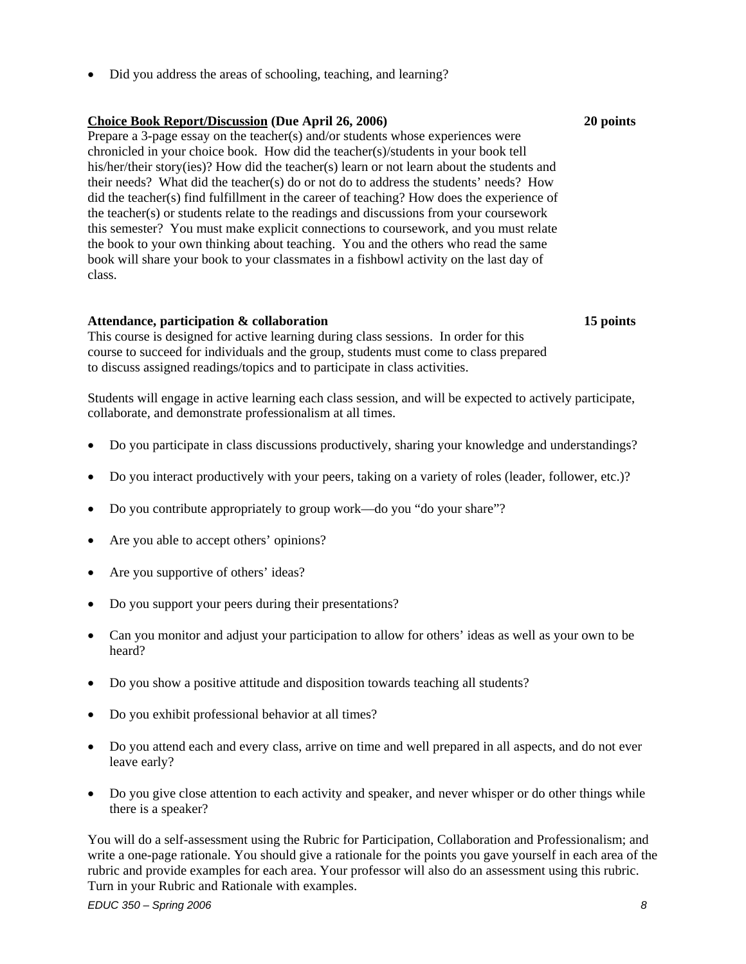• Did you address the areas of schooling, teaching, and learning?

#### **Choice Book Report/Discussion (Due April 26, 2006) 20 points**

Prepare a 3-page essay on the teacher(s) and/or students whose experiences were chronicled in your choice book. How did the teacher(s)/students in your book tell his/her/their story(ies)? How did the teacher(s) learn or not learn about the students and their needs? What did the teacher(s) do or not do to address the students' needs? How did the teacher(s) find fulfillment in the career of teaching? How does the experience of the teacher(s) or students relate to the readings and discussions from your coursework this semester? You must make explicit connections to coursework, and you must relate the book to your own thinking about teaching. You and the others who read the same book will share your book to your classmates in a fishbowl activity on the last day of class.

#### **Attendance, participation & collaboration 15 points**

This course is designed for active learning during class sessions. In order for this course to succeed for individuals and the group, students must come to class prepared to discuss assigned readings/topics and to participate in class activities.

Students will engage in active learning each class session, and will be expected to actively participate, collaborate, and demonstrate professionalism at all times.

- Do you participate in class discussions productively, sharing your knowledge and understandings?
- Do you interact productively with your peers, taking on a variety of roles (leader, follower, etc.)?
- Do you contribute appropriately to group work—do you "do your share"?
- Are you able to accept others' opinions?
- Are you supportive of others' ideas?
- Do you support your peers during their presentations?
- Can you monitor and adjust your participation to allow for others' ideas as well as your own to be heard?
- Do you show a positive attitude and disposition towards teaching all students?
- Do you exhibit professional behavior at all times?
- Do you attend each and every class, arrive on time and well prepared in all aspects, and do not ever leave early?
- Do you give close attention to each activity and speaker, and never whisper or do other things while there is a speaker?

You will do a self-assessment using the Rubric for Participation, Collaboration and Professionalism; and write a one-page rationale. You should give a rationale for the points you gave yourself in each area of the rubric and provide examples for each area. Your professor will also do an assessment using this rubric. Turn in your Rubric and Rationale with examples.

*EDUC 350 – Spring 2006 8*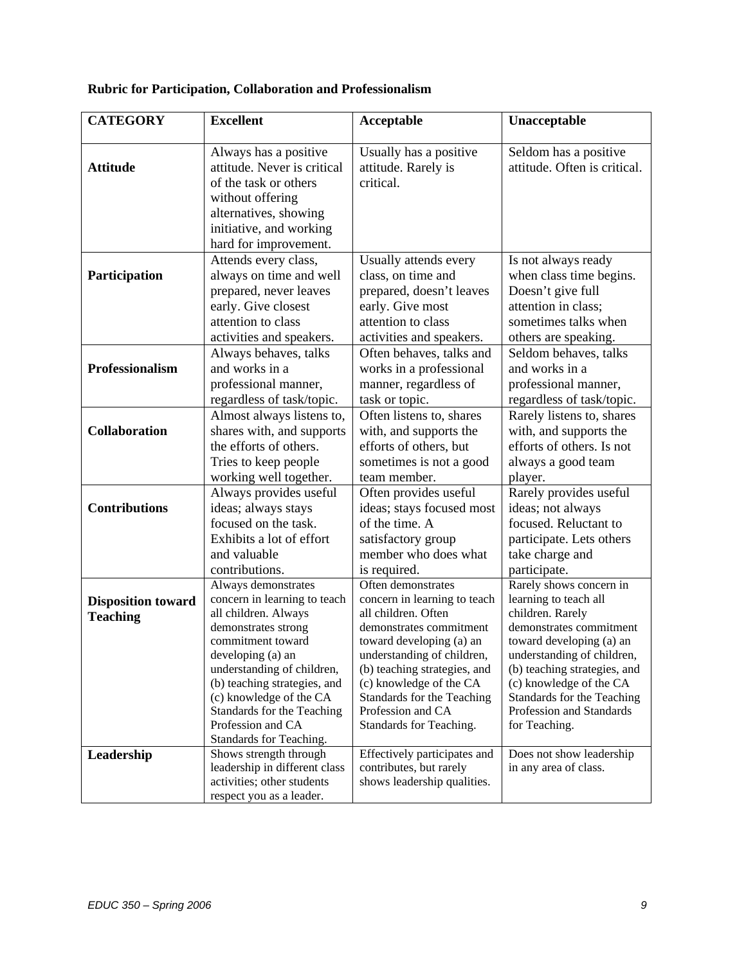## **Rubric for Participation, Collaboration and Professionalism**

| <b>CATEGORY</b>           | <b>Excellent</b>                                            | Acceptable                                             | Unacceptable                                          |
|---------------------------|-------------------------------------------------------------|--------------------------------------------------------|-------------------------------------------------------|
|                           |                                                             |                                                        |                                                       |
| <b>Attitude</b>           | Always has a positive<br>attitude. Never is critical        | Usually has a positive<br>attitude. Rarely is          | Seldom has a positive<br>attitude. Often is critical. |
|                           | of the task or others                                       | critical.                                              |                                                       |
|                           | without offering                                            |                                                        |                                                       |
|                           | alternatives, showing                                       |                                                        |                                                       |
|                           | initiative, and working                                     |                                                        |                                                       |
|                           | hard for improvement.                                       |                                                        |                                                       |
|                           | Attends every class,                                        | Usually attends every                                  | Is not always ready                                   |
| Participation             | always on time and well                                     | class, on time and                                     | when class time begins.                               |
|                           |                                                             | prepared, doesn't leaves                               | Doesn't give full                                     |
|                           | prepared, never leaves                                      |                                                        | attention in class;                                   |
|                           | early. Give closest<br>attention to class                   | early. Give most<br>attention to class                 | sometimes talks when                                  |
|                           |                                                             |                                                        |                                                       |
|                           | activities and speakers.                                    | activities and speakers.                               | others are speaking.                                  |
|                           | Always behaves, talks                                       | Often behaves, talks and                               | Seldom behaves, talks<br>and works in a               |
| Professionalism           | and works in a                                              | works in a professional                                |                                                       |
|                           | professional manner,                                        | manner, regardless of                                  | professional manner,                                  |
|                           | regardless of task/topic.                                   | task or topic.                                         | regardless of task/topic.                             |
|                           | Almost always listens to,                                   | Often listens to, shares                               | Rarely listens to, shares                             |
| <b>Collaboration</b>      | shares with, and supports                                   | with, and supports the                                 | with, and supports the                                |
|                           | the efforts of others.                                      | efforts of others, but                                 | efforts of others. Is not                             |
|                           | Tries to keep people                                        | sometimes is not a good                                | always a good team                                    |
|                           | working well together.                                      | team member.                                           | player.                                               |
|                           | Always provides useful                                      | Often provides useful                                  | Rarely provides useful                                |
| <b>Contributions</b>      | ideas; always stays                                         | ideas; stays focused most                              | ideas; not always                                     |
|                           | focused on the task.                                        | of the time. A                                         | focused. Reluctant to                                 |
|                           | Exhibits a lot of effort                                    | satisfactory group                                     | participate. Lets others                              |
|                           | and valuable                                                | member who does what                                   | take charge and                                       |
|                           | contributions.                                              | is required.                                           | participate.                                          |
|                           | Always demonstrates                                         | Often demonstrates                                     | Rarely shows concern in                               |
| <b>Disposition toward</b> | concern in learning to teach<br>all children. Always        | concern in learning to teach<br>all children. Often    | learning to teach all<br>children. Rarely             |
| <b>Teaching</b>           | demonstrates strong                                         | demonstrates commitment                                | demonstrates commitment                               |
|                           | commitment toward                                           | toward developing (a) an                               | toward developing (a) an                              |
|                           | developing (a) an                                           | understanding of children,                             | understanding of children,                            |
|                           | understanding of children,                                  | (b) teaching strategies, and                           | (b) teaching strategies, and                          |
|                           | (b) teaching strategies, and                                | (c) knowledge of the CA                                | (c) knowledge of the CA                               |
|                           | (c) knowledge of the CA                                     | Standards for the Teaching                             | Standards for the Teaching                            |
|                           | Standards for the Teaching                                  | Profession and CA                                      | Profession and Standards                              |
|                           | Profession and CA                                           | Standards for Teaching.                                | for Teaching.                                         |
|                           | Standards for Teaching.                                     |                                                        |                                                       |
| Leadership                | Shows strength through                                      | Effectively participates and                           | Does not show leadership                              |
|                           | leadership in different class<br>activities; other students | contributes, but rarely<br>shows leadership qualities. | in any area of class.                                 |
|                           | respect you as a leader.                                    |                                                        |                                                       |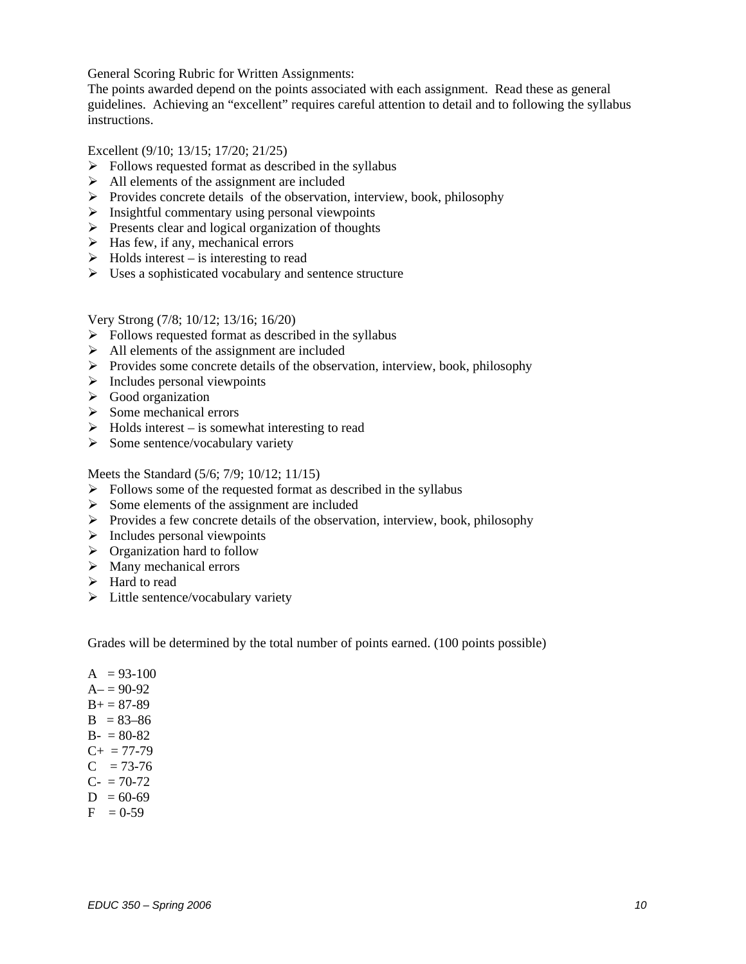General Scoring Rubric for Written Assignments:

The points awarded depend on the points associated with each assignment. Read these as general guidelines. Achieving an "excellent" requires careful attention to detail and to following the syllabus instructions.

Excellent (9/10; 13/15; 17/20; 21/25)

- $\triangleright$  Follows requested format as described in the syllabus
- $\triangleright$  All elements of the assignment are included
- $\triangleright$  Provides concrete details of the observation, interview, book, philosophy
- $\triangleright$  Insightful commentary using personal viewpoints
- $\triangleright$  Presents clear and logical organization of thoughts
- $\blacktriangleright$  Has few, if any, mechanical errors
- $\triangleright$  Holds interest is interesting to read
- $\triangleright$  Uses a sophisticated vocabulary and sentence structure

Very Strong (7/8; 10/12; 13/16; 16/20)

- $\triangleright$  Follows requested format as described in the syllabus
- $\triangleright$  All elements of the assignment are included
- $\triangleright$  Provides some concrete details of the observation, interview, book, philosophy
- $\triangleright$  Includes personal viewpoints
- $\triangleright$  Good organization
- $\triangleright$  Some mechanical errors
- $\triangleright$  Holds interest is somewhat interesting to read
- $\triangleright$  Some sentence/vocabulary variety

Meets the Standard (5/6; 7/9; 10/12; 11/15)

- $\triangleright$  Follows some of the requested format as described in the syllabus
- $\triangleright$  Some elements of the assignment are included
- ¾ Provides a few concrete details of the observation, interview, book, philosophy
- $\triangleright$  Includes personal viewpoints
- $\triangleright$  Organization hard to follow
- $\triangleright$  Many mechanical errors
- $\blacktriangleright$  Hard to read
- $\triangleright$  Little sentence/vocabulary variety

Grades will be determined by the total number of points earned. (100 points possible)

- $A = 93-100$  $A = 90-92$  $B+= 87-89$  $B = 83 - 86$  $B - 80-82$  $C_{+}$  = 77-79  $C = 73-76$  $C_{-} = 70-72$
- $D = 60-69$
- $F = 0.59$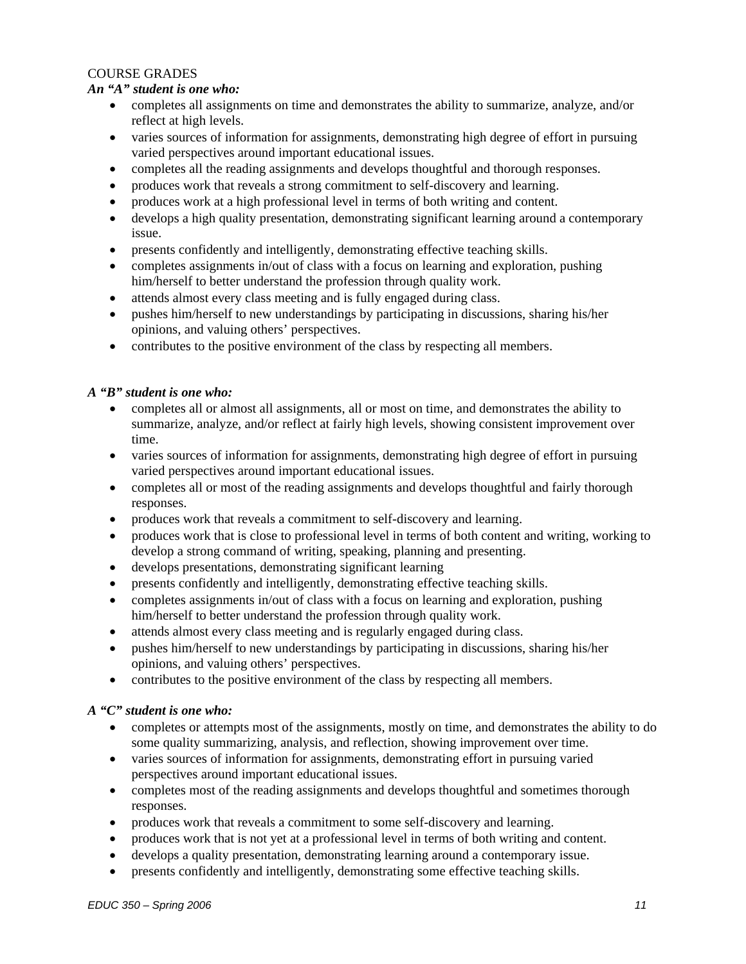#### COURSE GRADES

#### *An "A" student is one who:*

- completes all assignments on time and demonstrates the ability to summarize, analyze, and/or reflect at high levels.
- varies sources of information for assignments, demonstrating high degree of effort in pursuing varied perspectives around important educational issues.
- completes all the reading assignments and develops thoughtful and thorough responses.
- produces work that reveals a strong commitment to self-discovery and learning.
- produces work at a high professional level in terms of both writing and content.
- develops a high quality presentation, demonstrating significant learning around a contemporary issue.
- presents confidently and intelligently, demonstrating effective teaching skills.
- completes assignments in/out of class with a focus on learning and exploration, pushing him/herself to better understand the profession through quality work.
- attends almost every class meeting and is fully engaged during class.
- pushes him/herself to new understandings by participating in discussions, sharing his/her opinions, and valuing others' perspectives.
- contributes to the positive environment of the class by respecting all members.

#### *A "B" student is one who:*

- completes all or almost all assignments, all or most on time, and demonstrates the ability to summarize, analyze, and/or reflect at fairly high levels, showing consistent improvement over time.
- varies sources of information for assignments, demonstrating high degree of effort in pursuing varied perspectives around important educational issues.
- completes all or most of the reading assignments and develops thoughtful and fairly thorough responses.
- produces work that reveals a commitment to self-discovery and learning.
- produces work that is close to professional level in terms of both content and writing, working to develop a strong command of writing, speaking, planning and presenting.
- develops presentations, demonstrating significant learning
- presents confidently and intelligently, demonstrating effective teaching skills.
- completes assignments in/out of class with a focus on learning and exploration, pushing him/herself to better understand the profession through quality work.
- attends almost every class meeting and is regularly engaged during class.
- pushes him/herself to new understandings by participating in discussions, sharing his/her opinions, and valuing others' perspectives.
- contributes to the positive environment of the class by respecting all members.

#### *A "C" student is one who:*

- completes or attempts most of the assignments, mostly on time, and demonstrates the ability to do some quality summarizing, analysis, and reflection, showing improvement over time.
- varies sources of information for assignments, demonstrating effort in pursuing varied perspectives around important educational issues.
- completes most of the reading assignments and develops thoughtful and sometimes thorough responses.
- produces work that reveals a commitment to some self-discovery and learning.
- produces work that is not yet at a professional level in terms of both writing and content.
- develops a quality presentation, demonstrating learning around a contemporary issue.
- presents confidently and intelligently, demonstrating some effective teaching skills.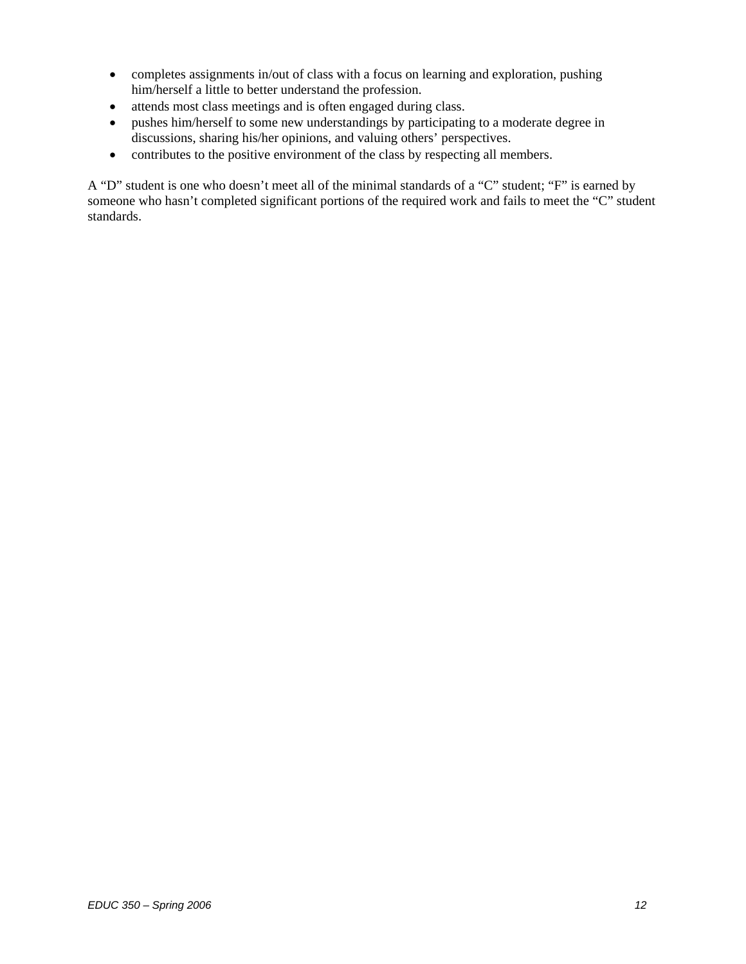- completes assignments in/out of class with a focus on learning and exploration, pushing him/herself a little to better understand the profession.
- attends most class meetings and is often engaged during class.
- pushes him/herself to some new understandings by participating to a moderate degree in discussions, sharing his/her opinions, and valuing others' perspectives.
- contributes to the positive environment of the class by respecting all members.

A "D" student is one who doesn't meet all of the minimal standards of a "C" student; "F" is earned by someone who hasn't completed significant portions of the required work and fails to meet the "C" student standards.